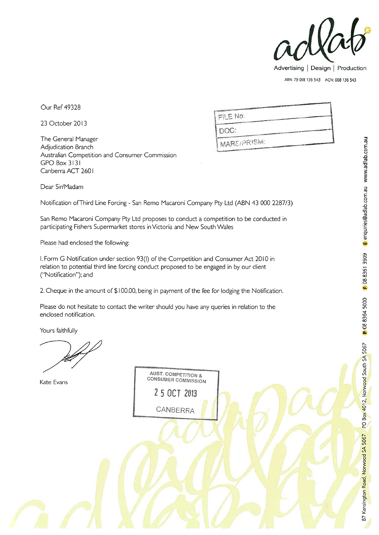

Our Ref 49328

23 October 2013

The General Manager Adjudication Branch Australian Competition and Consumer Commission GPO Box 3131 Canberra ACT 260 I

| FILENO:     |  |
|-------------|--|
| DOC:        |  |
| MARS/PRISM: |  |

Dear Sir/Madam

Notification of Third Line Forcing - San Remo Macaroni Company Pty Ltd (ABN 43 000 2287/3)

San Remo Macaroni Company Pty Ltd proposes to conduct a competition to be conducted in participating Fishers Supermarket stores in Victoria and New South Wales

Please had enclosed the following:

I. Form G Notification under section 93(I) of the Competition and Consumer Act 2010 in relation to potential third line forcing conduct proposed to be engaged in by our client ("Notification"); and

2. Cheque in the amount of \$100.00, being in payment of the fee for lodging the Notification.

Please do not hesitate to contact the writer should you have any queries in relation to the enclosed notification.

Yours faithfully

Kate Evans

AUST. COMPETITION & CONSUMER COMMISSION

25 OCT 2013 CANBERRA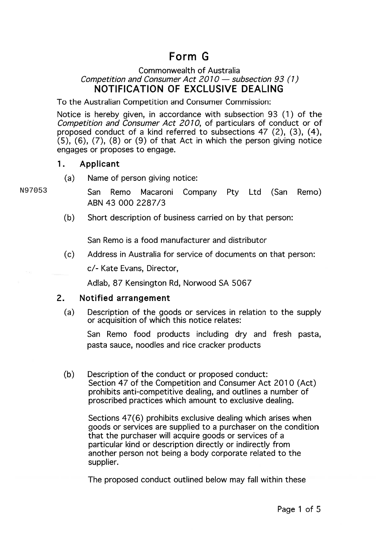# Form G

# Commonwealth of Australia Competition and Consumer Act  $2010 -$  subsection 93 (1) NOTIFICATION OF EXCLUSIVE DEALING

To the Australian Competition and Consumer Commission:

Notice is hereby given, in accordance with subsection 93 (1) of the Competition and Consumer Act 2010, of particulars of conduct or of proposed conduct of a kind referred to subsections 47 (2), (3), (4),  $(5)$ ,  $(6)$ ,  $(7)$ ,  $(8)$  or  $(9)$  of that Act in which the person giving notice engages or proposes to engage.

### 1. Applicant

(a) Name of person giving notice:

San Remo Macaroni Company Pty Ltd (San Remo) ABN 43 000 2287/3

(b) Short description of business carried on by that person:

San Remo is a food manufacturer and distributor

(c) Address in Australia for service of documents on that person:

c/- Kate Evans, Director,

Adlab, 87 Kensington Rd, Norwood SA 5067

# 2. Notified arrangement

(a) Description of the goods or services in relation to the supply or acquisition of which this notice relates:

San Remo food products including dry and fresh pasta, pasta sauce, noodles and rice cracker products

(b) Description of the conduct or proposed conduct: Section 47 of the Competition and Consumer Act 2010 (Act) prohibits anti-competitive dealing, and outlines a number of proscribed practices which amount to exclusive dealing.

Sections 47(6) prohibits exclusive dealing which arises when goods or services are supplied to a purchaser on the condition that the purchaser will acquire goods or services of a particular kind or description directly or indirectly from another person not being a body corporate related to the supplier.

The proposed conduct outlined below may fall within these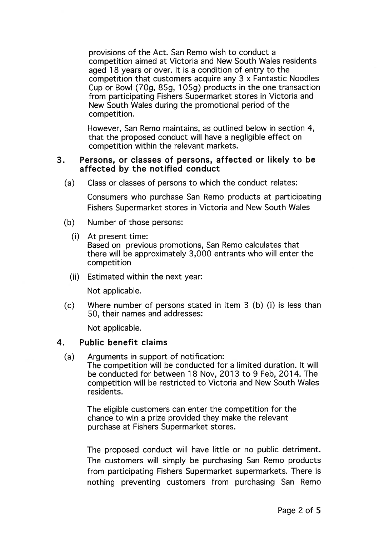provisions of the Act. San Remo wish to conduct a competition aimed at Victoria and New South Wales residents aged 18 years or over. It is a condition of entry to the competition that customers acquire any 3 x Fantastic Noodles Cup or Bowl (70g, 85g, 105g) products in the one transaction from participating Fishers Supermarket stores in Victoria and New South Wales during the promotional period of the competition.

However, San Remo maintains, as outlined below in section 4, that the proposed conduct will have a negligible effect on competition within the relevant markets.

#### 3. Persons, or classes of persons, affected or likely to be affected by the notified conduct

(a) Class or classes of persons to which the conduct relates:

Consumers who purchase San Remo products at participating Fishers Supermarket stores in Victoria and New South Wales

- (b) Number of those persons:
	- (i) At present time:

Based on previous promotions, San Remo calculates that there will be approximately 3,000 entrants who will enter the competition

(ii) Estimated within the next year:

Not applicable.

(c) Where number of persons stated in item 3 (b) (i) is less than 50, their names and addresses:

Not applicable.

### 4. Public benefit claims

(a) Arguments in support of notification: The competition will be conducted for a limited duration. It will be conducted for between 18 Nov, 2013 to 9 Feb, 2014. The competition will be restricted to Victoria and New South Wales residents.

The eligible customers can enter the competition for the chance to win a prize provided they make the relevant purchase at Fishers Supermarket stores.

The proposed conduct will have little or no public detriment. The customers will simply be purchasing San Remo products from participating Fishers Supermarket supermarkets. There is nothing preventing customers from purchasing San Remo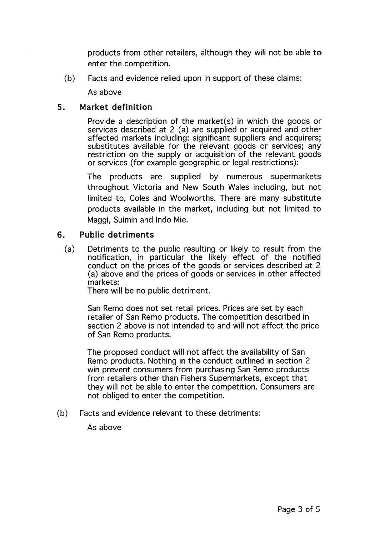products from other retailers, although they will not be able to enter the competition.

(b) Facts and evidence relied upon in support of these claims:

As above

#### 5. Market definition

Provide a description of the market(s) in which the goods or services described at 2 (a) are supplied or acquired and other affected markets including: significant suppliers and acquirers; substitutes available for the relevant goods or services; any restriction on the supply or acquisition of the relevant goods or services (for example geographic or legal restrictions):

The products are supplied by numerous supermarkets throughout Victoria and New South Wales including, but not limited to, Coles and Woolworths. There are many substitute products available in the market, including but not limited to Maggi, Suimin and Indo Mie.

# 6. Public detriments

(a) Detriments to the public resulting or likely to result from the notification, in particular the likely effect of the notified conduct on the prices of the goods or services described at 2 (a) above and the prices of goods or services in other affected markets:

There will be no public detriment.

San Remo does not set retail prices. Prices are set by each retailer of San Remo products. The competition described in section 2 above is not intended to and will not affect the price of San Remo products.

The proposed conduct will not affect the availability of San Remo products. Nothing in the conduct outlined in section 2 win prevent consumers from purchasing San Remo products from retailers other than Fishers Supermarkets, except that they will not be able to enter the competition. Consumers are not obliged to enter the competition.

(b) Facts and evidence relevant to these detriments:

As above